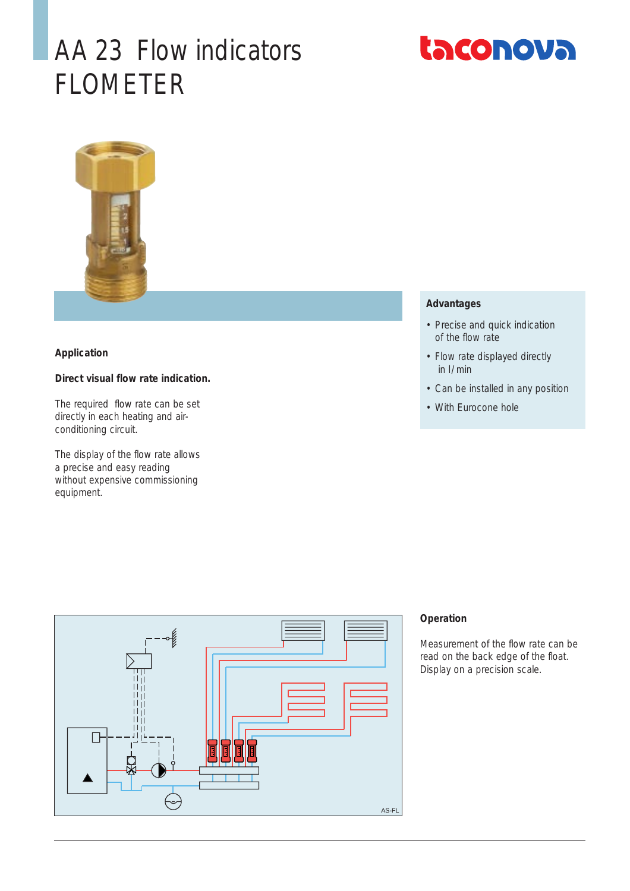# AA 23 Flow indicators FLOMETER





### **Application**

## **Direct visual flow rate indication.**

The required flow rate can be set directly in each heating and airconditioning circuit.

The display of the flow rate allows a precise and easy reading without expensive commissioning equipment.

### **Advantages**

- Precise and quick indication of the flow rate
- Flow rate displayed directly in l/ min
- Can be installed in any position
- With Eurocone hole



### **Operation**

Measurement of the flow rate can be read on the back edge of the float. Display on a precision scale.